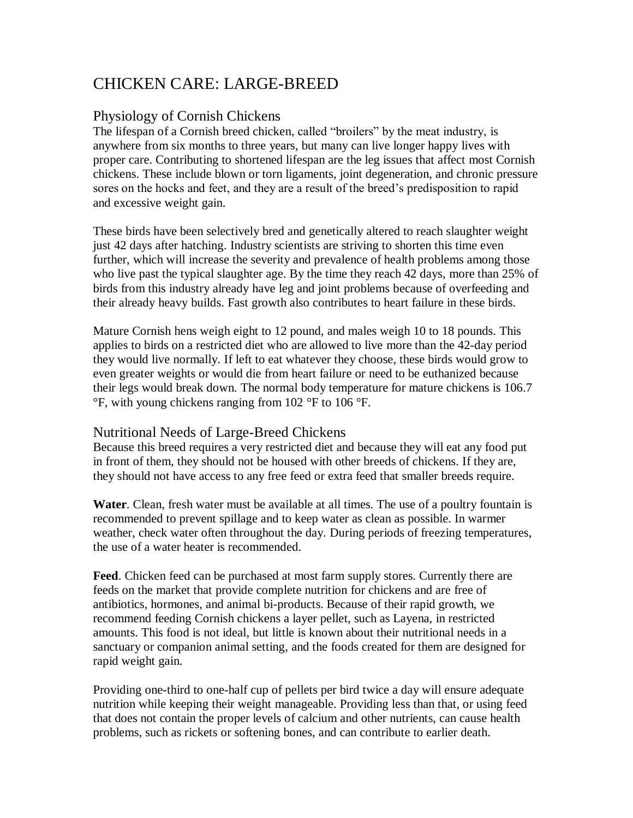# CHICKEN CARE: LARGE-BREED

### Physiology of Cornish Chickens

The lifespan of a Cornish breed chicken, called "broilers" by the meat industry, is anywhere from six months to three years, but many can live longer happy lives with proper care. Contributing to shortened lifespan are the leg issues that affect most Cornish chickens. These include blown or torn ligaments, joint degeneration, and chronic pressure sores on the hocks and feet, and they are a result of the breed's predisposition to rapid and excessive weight gain.

These birds have been selectively bred and genetically altered to reach slaughter weight just 42 days after hatching. Industry scientists are striving to shorten this time even further, which will increase the severity and prevalence of health problems among those who live past the typical slaughter age. By the time they reach 42 days, more than 25% of birds from this industry already have leg and joint problems because of overfeeding and their already heavy builds. Fast growth also contributes to heart failure in these birds.

Mature Cornish hens weigh eight to 12 pound, and males weigh 10 to 18 pounds. This applies to birds on a restricted diet who are allowed to live more than the 42-day period they would live normally. If left to eat whatever they choose, these birds would grow to even greater weights or would die from heart failure or need to be euthanized because their legs would break down. The normal body temperature for mature chickens is 106.7 °F, with young chickens ranging from 102 °F to 106 °F.

#### Nutritional Needs of Large-Breed Chickens

Because this breed requires a very restricted diet and because they will eat any food put in front of them, they should not be housed with other breeds of chickens. If they are, they should not have access to any free feed or extra feed that smaller breeds require.

**Water**. Clean, fresh water must be available at all times. The use of a poultry fountain is recommended to prevent spillage and to keep water as clean as possible. In warmer weather, check water often throughout the day. During periods of freezing temperatures, the use of a water heater is recommended.

**Feed**. Chicken feed can be purchased at most farm supply stores. Currently there are feeds on the market that provide complete nutrition for chickens and are free of antibiotics, hormones, and animal bi-products. Because of their rapid growth, we recommend feeding Cornish chickens a layer pellet, such as Layena, in restricted amounts. This food is not ideal, but little is known about their nutritional needs in a sanctuary or companion animal setting, and the foods created for them are designed for rapid weight gain.

Providing one-third to one-half cup of pellets per bird twice a day will ensure adequate nutrition while keeping their weight manageable. Providing less than that, or using feed that does not contain the proper levels of calcium and other nutrients, can cause health problems, such as rickets or softening bones, and can contribute to earlier death.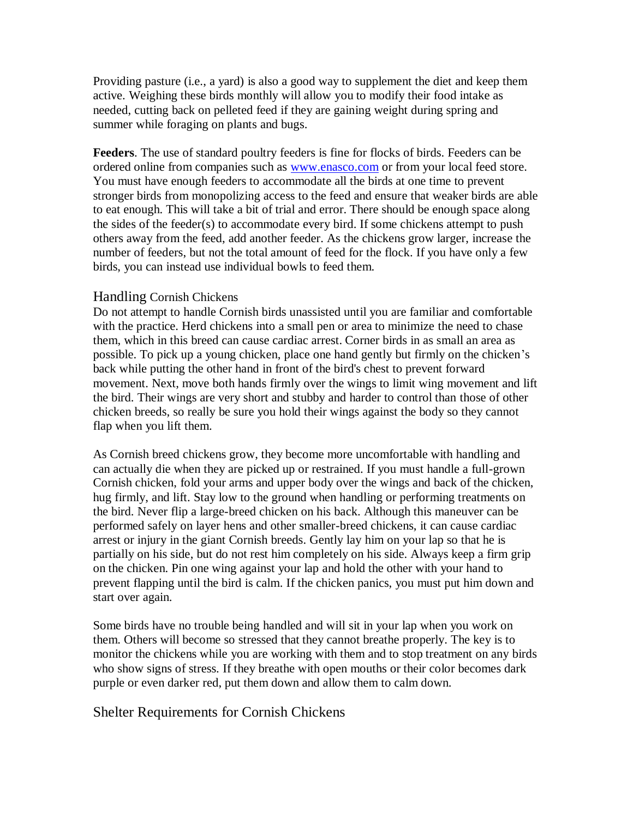Providing pasture (i.e., a yard) is also a good way to supplement the diet and keep them active. Weighing these birds monthly will allow you to modify their food intake as needed, cutting back on pelleted feed if they are gaining weight during spring and summer while foraging on plants and bugs.

**Feeders**. The use of standard poultry feeders is fine for flocks of birds. Feeders can be ordered online from companies such as [www.enasco.com](http://www.enasco.com/) or from your local feed store. You must have enough feeders to accommodate all the birds at one time to prevent stronger birds from monopolizing access to the feed and ensure that weaker birds are able to eat enough. This will take a bit of trial and error. There should be enough space along the sides of the feeder(s) to accommodate every bird. If some chickens attempt to push others away from the feed, add another feeder. As the chickens grow larger, increase the number of feeders, but not the total amount of feed for the flock. If you have only a few birds, you can instead use individual bowls to feed them.

#### Handling Cornish Chickens

Do not attempt to handle Cornish birds unassisted until you are familiar and comfortable with the practice. Herd chickens into a small pen or area to minimize the need to chase them, which in this breed can cause cardiac arrest. Corner birds in as small an area as possible. To pick up a young chicken, place one hand gently but firmly on the chicken's back while putting the other hand in front of the bird's chest to prevent forward movement. Next, move both hands firmly over the wings to limit wing movement and lift the bird. Their wings are very short and stubby and harder to control than those of other chicken breeds, so really be sure you hold their wings against the body so they cannot flap when you lift them.

As Cornish breed chickens grow, they become more uncomfortable with handling and can actually die when they are picked up or restrained. If you must handle a full-grown Cornish chicken, fold your arms and upper body over the wings and back of the chicken, hug firmly, and lift. Stay low to the ground when handling or performing treatments on the bird. Never flip a large-breed chicken on his back. Although this maneuver can be performed safely on layer hens and other smaller-breed chickens, it can cause cardiac arrest or injury in the giant Cornish breeds. Gently lay him on your lap so that he is partially on his side, but do not rest him completely on his side. Always keep a firm grip on the chicken. Pin one wing against your lap and hold the other with your hand to prevent flapping until the bird is calm. If the chicken panics, you must put him down and start over again.

Some birds have no trouble being handled and will sit in your lap when you work on them. Others will become so stressed that they cannot breathe properly. The key is to monitor the chickens while you are working with them and to stop treatment on any birds who show signs of stress. If they breathe with open mouths or their color becomes dark purple or even darker red, put them down and allow them to calm down.

#### Shelter Requirements for Cornish Chickens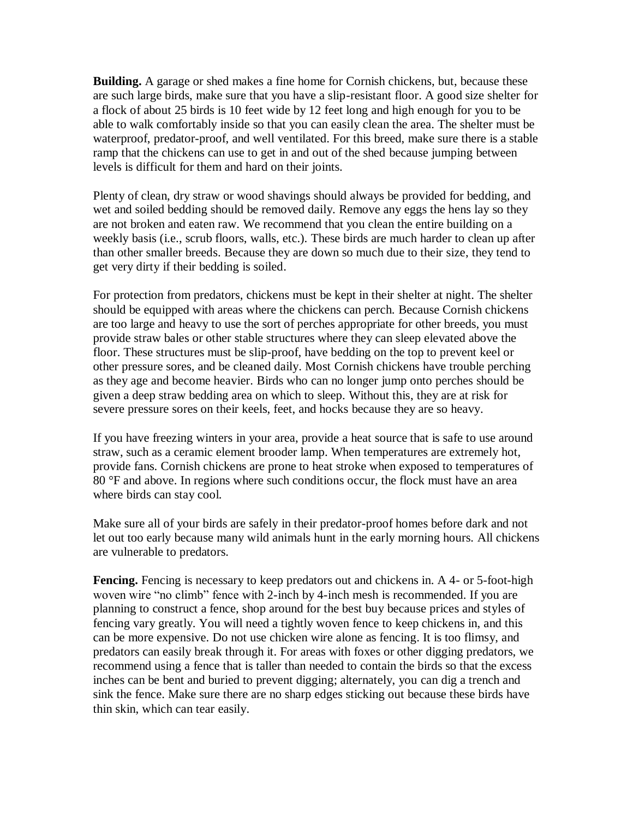**Building.** A garage or shed makes a fine home for Cornish chickens, but, because these are such large birds, make sure that you have a slip-resistant floor. A good size shelter for a flock of about 25 birds is 10 feet wide by 12 feet long and high enough for you to be able to walk comfortably inside so that you can easily clean the area. The shelter must be waterproof, predator-proof, and well ventilated. For this breed, make sure there is a stable ramp that the chickens can use to get in and out of the shed because jumping between levels is difficult for them and hard on their joints.

Plenty of clean, dry straw or wood shavings should always be provided for bedding, and wet and soiled bedding should be removed daily. Remove any eggs the hens lay so they are not broken and eaten raw. We recommend that you clean the entire building on a weekly basis (i.e., scrub floors, walls, etc.). These birds are much harder to clean up after than other smaller breeds. Because they are down so much due to their size, they tend to get very dirty if their bedding is soiled.

For protection from predators, chickens must be kept in their shelter at night. The shelter should be equipped with areas where the chickens can perch. Because Cornish chickens are too large and heavy to use the sort of perches appropriate for other breeds, you must provide straw bales or other stable structures where they can sleep elevated above the floor. These structures must be slip-proof, have bedding on the top to prevent keel or other pressure sores, and be cleaned daily. Most Cornish chickens have trouble perching as they age and become heavier. Birds who can no longer jump onto perches should be given a deep straw bedding area on which to sleep. Without this, they are at risk for severe pressure sores on their keels, feet, and hocks because they are so heavy.

If you have freezing winters in your area, provide a heat source that is safe to use around straw, such as a ceramic element brooder lamp. When temperatures are extremely hot, provide fans. Cornish chickens are prone to heat stroke when exposed to temperatures of 80 °F and above. In regions where such conditions occur, the flock must have an area where birds can stay cool.

Make sure all of your birds are safely in their predator-proof homes before dark and not let out too early because many wild animals hunt in the early morning hours. All chickens are vulnerable to predators.

**Fencing.** Fencing is necessary to keep predators out and chickens in. A 4- or 5-foot-high woven wire "no climb" fence with 2-inch by 4-inch mesh is recommended. If you are planning to construct a fence, shop around for the best buy because prices and styles of fencing vary greatly. You will need a tightly woven fence to keep chickens in, and this can be more expensive. Do not use chicken wire alone as fencing. It is too flimsy, and predators can easily break through it. For areas with foxes or other digging predators, we recommend using a fence that is taller than needed to contain the birds so that the excess inches can be bent and buried to prevent digging; alternately, you can dig a trench and sink the fence. Make sure there are no sharp edges sticking out because these birds have thin skin, which can tear easily.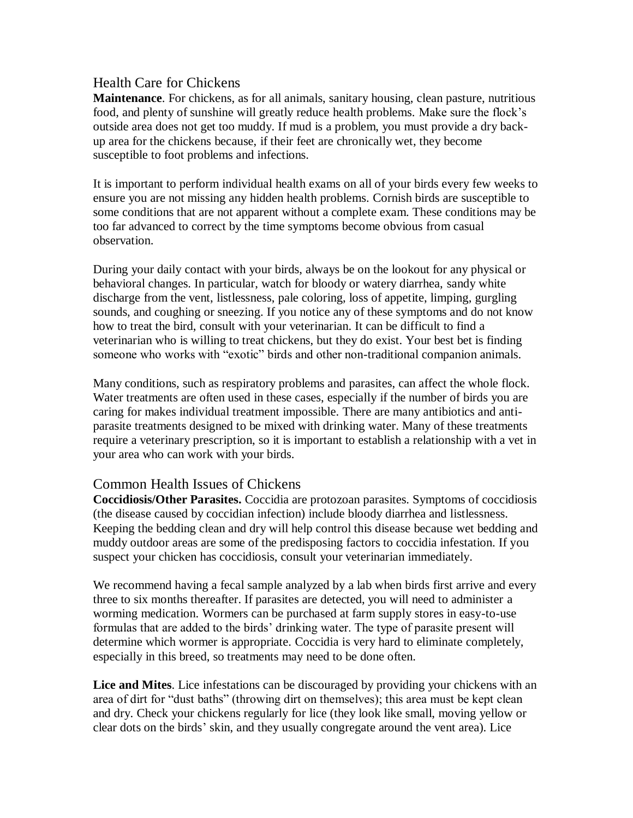#### Health Care for Chickens

**Maintenance**. For chickens, as for all animals, sanitary housing, clean pasture, nutritious food, and plenty of sunshine will greatly reduce health problems. Make sure the flock's outside area does not get too muddy. If mud is a problem, you must provide a dry backup area for the chickens because, if their feet are chronically wet, they become susceptible to foot problems and infections.

It is important to perform individual health exams on all of your birds every few weeks to ensure you are not missing any hidden health problems. Cornish birds are susceptible to some conditions that are not apparent without a complete exam. These conditions may be too far advanced to correct by the time symptoms become obvious from casual observation.

During your daily contact with your birds, always be on the lookout for any physical or behavioral changes. In particular, watch for bloody or watery diarrhea, sandy white discharge from the vent, listlessness, pale coloring, loss of appetite, limping, gurgling sounds, and coughing or sneezing. If you notice any of these symptoms and do not know how to treat the bird, consult with your veterinarian. It can be difficult to find a veterinarian who is willing to treat chickens, but they do exist. Your best bet is finding someone who works with "exotic" birds and other non-traditional companion animals.

Many conditions, such as respiratory problems and parasites, can affect the whole flock. Water treatments are often used in these cases, especially if the number of birds you are caring for makes individual treatment impossible. There are many antibiotics and antiparasite treatments designed to be mixed with drinking water. Many of these treatments require a veterinary prescription, so it is important to establish a relationship with a vet in your area who can work with your birds.

#### Common Health Issues of Chickens

**Coccidiosis/Other Parasites.** Coccidia are protozoan parasites. Symptoms of coccidiosis (the disease caused by coccidian infection) include bloody diarrhea and listlessness. Keeping the bedding clean and dry will help control this disease because wet bedding and muddy outdoor areas are some of the predisposing factors to coccidia infestation. If you suspect your chicken has coccidiosis, consult your veterinarian immediately.

We recommend having a fecal sample analyzed by a lab when birds first arrive and every three to six months thereafter. If parasites are detected, you will need to administer a worming medication. Wormers can be purchased at farm supply stores in easy-to-use formulas that are added to the birds' drinking water. The type of parasite present will determine which wormer is appropriate. Coccidia is very hard to eliminate completely, especially in this breed, so treatments may need to be done often.

**Lice and Mites**. Lice infestations can be discouraged by providing your chickens with an area of dirt for "dust baths" (throwing dirt on themselves); this area must be kept clean and dry. Check your chickens regularly for lice (they look like small, moving yellow or clear dots on the birds' skin, and they usually congregate around the vent area). Lice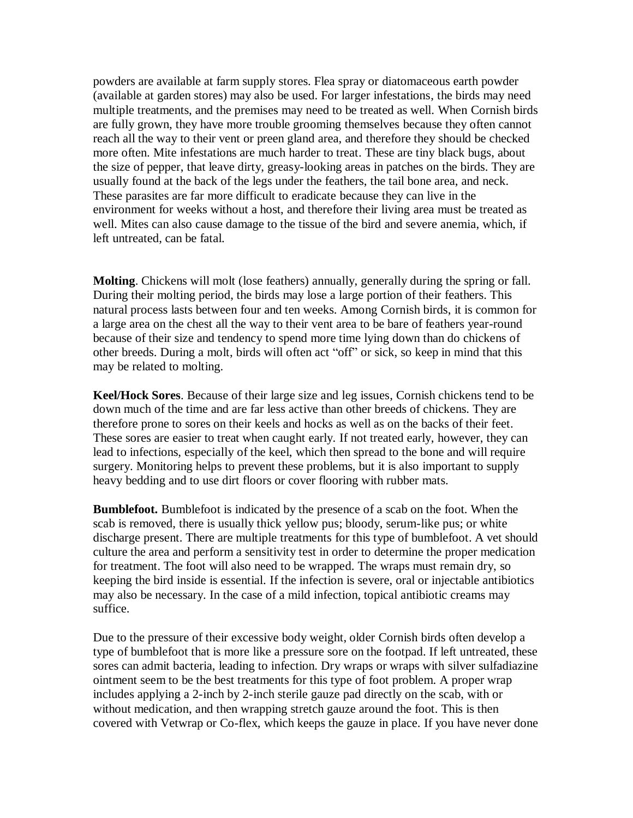powders are available at farm supply stores. Flea spray or diatomaceous earth powder (available at garden stores) may also be used. For larger infestations, the birds may need multiple treatments, and the premises may need to be treated as well. When Cornish birds are fully grown, they have more trouble grooming themselves because they often cannot reach all the way to their vent or preen gland area, and therefore they should be checked more often. Mite infestations are much harder to treat. These are tiny black bugs, about the size of pepper, that leave dirty, greasy-looking areas in patches on the birds. They are usually found at the back of the legs under the feathers, the tail bone area, and neck. These parasites are far more difficult to eradicate because they can live in the environment for weeks without a host, and therefore their living area must be treated as well. Mites can also cause damage to the tissue of the bird and severe anemia, which, if left untreated, can be fatal.

**Molting**. Chickens will molt (lose feathers) annually, generally during the spring or fall. During their molting period, the birds may lose a large portion of their feathers. This natural process lasts between four and ten weeks. Among Cornish birds, it is common for a large area on the chest all the way to their vent area to be bare of feathers year-round because of their size and tendency to spend more time lying down than do chickens of other breeds. During a molt, birds will often act "off" or sick, so keep in mind that this may be related to molting.

**Keel/Hock Sores**. Because of their large size and leg issues, Cornish chickens tend to be down much of the time and are far less active than other breeds of chickens. They are therefore prone to sores on their keels and hocks as well as on the backs of their feet. These sores are easier to treat when caught early. If not treated early, however, they can lead to infections, especially of the keel, which then spread to the bone and will require surgery. Monitoring helps to prevent these problems, but it is also important to supply heavy bedding and to use dirt floors or cover flooring with rubber mats.

**Bumblefoot.** Bumblefoot is indicated by the presence of a scab on the foot. When the scab is removed, there is usually thick yellow pus; bloody, serum-like pus; or white discharge present. There are multiple treatments for this type of bumblefoot. A vet should culture the area and perform a sensitivity test in order to determine the proper medication for treatment. The foot will also need to be wrapped. The wraps must remain dry, so keeping the bird inside is essential. If the infection is severe, oral or injectable antibiotics may also be necessary. In the case of a mild infection, topical antibiotic creams may suffice.

Due to the pressure of their excessive body weight, older Cornish birds often develop a type of bumblefoot that is more like a pressure sore on the footpad. If left untreated, these sores can admit bacteria, leading to infection. Dry wraps or wraps with silver sulfadiazine ointment seem to be the best treatments for this type of foot problem. A proper wrap includes applying a 2-inch by 2-inch sterile gauze pad directly on the scab, with or without medication, and then wrapping stretch gauze around the foot. This is then covered with Vetwrap or Co-flex, which keeps the gauze in place. If you have never done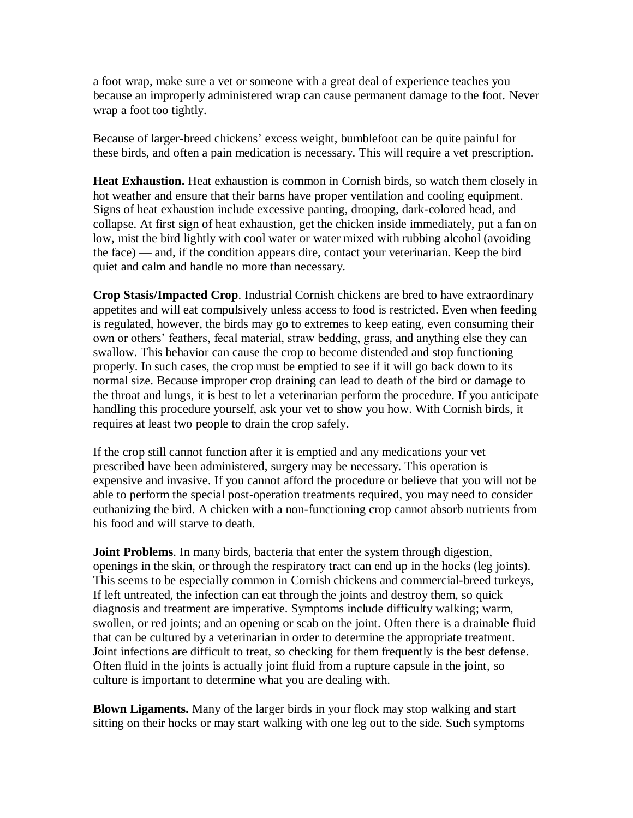a foot wrap, make sure a vet or someone with a great deal of experience teaches you because an improperly administered wrap can cause permanent damage to the foot. Never wrap a foot too tightly.

Because of larger-breed chickens' excess weight, bumblefoot can be quite painful for these birds, and often a pain medication is necessary. This will require a vet prescription.

**Heat Exhaustion.** Heat exhaustion is common in Cornish birds, so watch them closely in hot weather and ensure that their barns have proper ventilation and cooling equipment. Signs of heat exhaustion include excessive panting, drooping, dark-colored head, and collapse. At first sign of heat exhaustion, get the chicken inside immediately, put a fan on low, mist the bird lightly with cool water or water mixed with rubbing alcohol (avoiding the face) — and, if the condition appears dire, contact your veterinarian. Keep the bird quiet and calm and handle no more than necessary.

**Crop Stasis/Impacted Crop**. Industrial Cornish chickens are bred to have extraordinary appetites and will eat compulsively unless access to food is restricted. Even when feeding is regulated, however, the birds may go to extremes to keep eating, even consuming their own or others' feathers, fecal material, straw bedding, grass, and anything else they can swallow. This behavior can cause the crop to become distended and stop functioning properly. In such cases, the crop must be emptied to see if it will go back down to its normal size. Because improper crop draining can lead to death of the bird or damage to the throat and lungs, it is best to let a veterinarian perform the procedure. If you anticipate handling this procedure yourself, ask your vet to show you how. With Cornish birds, it requires at least two people to drain the crop safely.

If the crop still cannot function after it is emptied and any medications your vet prescribed have been administered, surgery may be necessary. This operation is expensive and invasive. If you cannot afford the procedure or believe that you will not be able to perform the special post-operation treatments required, you may need to consider euthanizing the bird. A chicken with a non-functioning crop cannot absorb nutrients from his food and will starve to death.

**Joint Problems**. In many birds, bacteria that enter the system through digestion, openings in the skin, or through the respiratory tract can end up in the hocks (leg joints). This seems to be especially common in Cornish chickens and commercial-breed turkeys, If left untreated, the infection can eat through the joints and destroy them, so quick diagnosis and treatment are imperative. Symptoms include difficulty walking; warm, swollen, or red joints; and an opening or scab on the joint. Often there is a drainable fluid that can be cultured by a veterinarian in order to determine the appropriate treatment. Joint infections are difficult to treat, so checking for them frequently is the best defense. Often fluid in the joints is actually joint fluid from a rupture capsule in the joint, so culture is important to determine what you are dealing with.

**Blown Ligaments.** Many of the larger birds in your flock may stop walking and start sitting on their hocks or may start walking with one leg out to the side. Such symptoms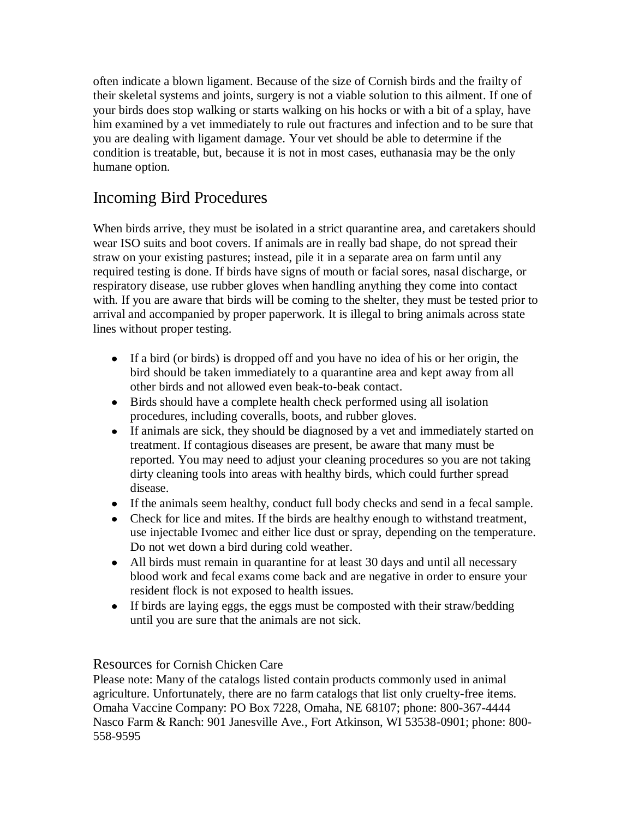often indicate a blown ligament. Because of the size of Cornish birds and the frailty of their skeletal systems and joints, surgery is not a viable solution to this ailment. If one of your birds does stop walking or starts walking on his hocks or with a bit of a splay, have him examined by a vet immediately to rule out fractures and infection and to be sure that you are dealing with ligament damage. Your vet should be able to determine if the condition is treatable, but, because it is not in most cases, euthanasia may be the only humane option.

## Incoming Bird Procedures

When birds arrive, they must be isolated in a strict quarantine area, and caretakers should wear ISO suits and boot covers. If animals are in really bad shape, do not spread their straw on your existing pastures; instead, pile it in a separate area on farm until any required testing is done. If birds have signs of mouth or facial sores, nasal discharge, or respiratory disease, use rubber gloves when handling anything they come into contact with. If you are aware that birds will be coming to the shelter, they must be tested prior to arrival and accompanied by proper paperwork. It is illegal to bring animals across state lines without proper testing.

- If a bird (or birds) is dropped off and you have no idea of his or her origin, the bird should be taken immediately to a quarantine area and kept away from all other birds and not allowed even beak-to-beak contact.
- Birds should have a complete health check performed using all isolation procedures, including coveralls, boots, and rubber gloves.
- If animals are sick, they should be diagnosed by a vet and immediately started on treatment. If contagious diseases are present, be aware that many must be reported. You may need to adjust your cleaning procedures so you are not taking dirty cleaning tools into areas with healthy birds, which could further spread disease.
- If the animals seem healthy, conduct full body checks and send in a fecal sample.
- Check for lice and mites. If the birds are healthy enough to withstand treatment, use injectable Ivomec and either lice dust or spray, depending on the temperature. Do not wet down a bird during cold weather.
- All birds must remain in quarantine for at least 30 days and until all necessary blood work and fecal exams come back and are negative in order to ensure your resident flock is not exposed to health issues.
- If birds are laying eggs, the eggs must be composted with their straw/bedding until you are sure that the animals are not sick.

#### Resources for Cornish Chicken Care

Please note: Many of the catalogs listed contain products commonly used in animal agriculture. Unfortunately, there are no farm catalogs that list only cruelty-free items. Omaha Vaccine Company: PO Box 7228, Omaha, NE 68107; phone: 800-367-4444 Nasco Farm & Ranch: 901 Janesville Ave., Fort Atkinson, WI 53538-0901; phone: 800- 558-9595